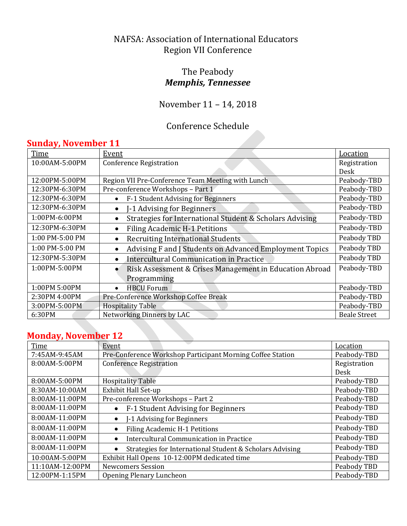#### NAFSA: Association of International Educators Region VII Conference

## The Peabody *Memphis, Tennessee*

# November 11 – 14, 2018

## Conference Schedule

## **Sunday, November 11**

| Time            | <b>Event</b>                                                          | Location            |
|-----------------|-----------------------------------------------------------------------|---------------------|
| 10:00AM-5:00PM  | <b>Conference Registration</b>                                        | Registration        |
|                 |                                                                       | Desk                |
| 12:00PM-5:00PM  | Region VII Pre-Conference Team Meeting with Lunch                     | Peabody-TBD         |
| 12:30PM-6:30PM  | Pre-conference Workshops - Part 1                                     | Peabody-TBD         |
| 12:30PM-6:30PM  | F-1 Student Advising for Beginners<br>$\bullet$                       | Peabody-TBD         |
| 12:30PM-6:30PM  | -1 Advising for Beginners<br>$\bullet$                                | Peabody-TBD         |
| 1:00PM-6:00PM   | Strategies for International Student & Scholars Advising<br>$\bullet$ | Peabody-TBD         |
| 12:30PM-6:30PM  | <b>Filing Academic H-1 Petitions</b><br>$\bullet$                     | Peabody-TBD         |
| 1:00 PM-5:00 PM | <b>Recruiting International Students</b><br>$\bullet$                 | Peabody TBD         |
| 1:00 PM-5:00 PM | Advising F and J Students on Advanced Employment Topics<br>$\bullet$  | Peabody TBD         |
| 12:30PM-5:30PM  | Intercultural Communication in Practice<br>$\bullet$                  | Peabody TBD         |
| 1:00PM-5:00PM   | Risk Assessment & Crises Management in Education Abroad               | Peabody-TBD         |
|                 | Programming                                                           |                     |
| 1:00PM 5:00PM   | <b>HBCU Forum</b><br>$\bullet$                                        | Peabody-TBD         |
| 2:30PM 4:00PM   | Pre-Conference Workshop Coffee Break                                  | Peabody-TBD         |
| 3:00PM-5:00PM   | <b>Hospitality Table</b>                                              | Peabody-TBD         |
| 6:30PM          | Networking Dinners by LAC                                             | <b>Beale Street</b> |

## **Monday, November 12**

| Time            | Event                                                       | Location     |
|-----------------|-------------------------------------------------------------|--------------|
| 7:45AM-9:45AM   | Pre-Conference Workshop Participant Morning Coffee Station  | Peabody-TBD  |
| 8:00AM-5:00PM   | <b>Conference Registration</b>                              | Registration |
|                 |                                                             | Desk         |
| 8:00AM-5:00PM   | <b>Hospitality Table</b>                                    | Peabody-TBD  |
| 8:30AM-10:00AM  | <b>Exhibit Hall Set-up</b>                                  | Peabody-TBD  |
| 8:00AM-11:00PM  | Pre-conference Workshops - Part 2                           | Peabody-TBD  |
| 8:00AM-11:00PM  | F-1 Student Advising for Beginners                          | Peabody-TBD  |
| 8:00AM-11:00PM  | I-1 Advising for Beginners<br>$\bullet$                     | Peabody-TBD  |
| 8:00AM-11:00PM  | <b>Filing Academic H-1 Petitions</b>                        | Peabody-TBD  |
| 8:00AM-11:00PM  | <b>Intercultural Communication in Practice</b><br>$\bullet$ | Peabody-TBD  |
| 8:00AM-11:00PM  | Strategies for International Student & Scholars Advising    | Peabody-TBD  |
| 10:00AM-5:00PM  | Exhibit Hall Opens 10-12:00PM dedicated time                | Peabody-TBD  |
| 11:10AM-12:00PM | <b>Newcomers Session</b>                                    | Peabody TBD  |
| 12:00PM-1:15PM  | <b>Opening Plenary Luncheon</b>                             | Peabody-TBD  |